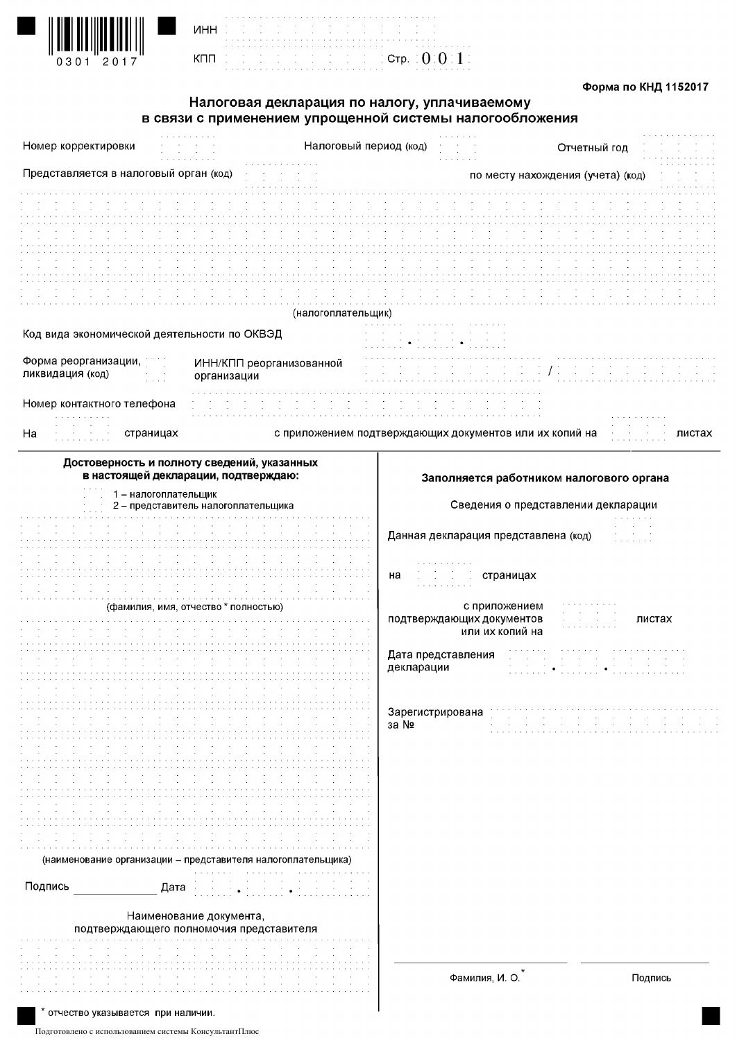

|     | ٠ | ٠ | ٠ |   |  |   |  |   | ٠ | ٠ | ٠ | ٠ | ٠ | ٠ | ٠ | × | ٠ |
|-----|---|---|---|---|--|---|--|---|---|---|---|---|---|---|---|---|---|
| ИHH | × |   |   | ٠ |  | ٠ |  | ٠ |   |   | ٠ |   |   | ٠ |   |   | ٠ |
|     | ٠ |   |   | ٠ |  | ٠ |  | ٠ |   |   |   |   |   | ٠ |   |   | ٠ |
|     | ٠ |   |   |   |  |   |  |   |   |   |   | ٠ | ł | ٠ |   |   | ٠ |
|     | ٠ |   |   |   |  |   |  |   |   |   |   |   |   |   |   |   | ٠ |
| кпп | ٠ |   |   | ٠ |  | ٠ |  | ٠ |   |   | ٠ |   |   | ٠ |   |   | ٠ |
|     | ٠ |   |   | ٠ |  | ٠ |  | ٠ |   |   | ٠ |   |   | ٠ |   |   | ٠ |

#### Форма по КНД 1152017

# Налоговая декларация по налогу, уплачиваемому в связи с применением упрощенной системы налогообложения

 $\alpha$  ,  $\alpha$  ,  $\alpha$  ,  $\alpha$  ,  $\alpha$  ,  $\alpha$ 

Стр. :  $0:0:1:$ 

| Номер корректировки                          |                                                                     | Налоговый период (код) |                                  |                                                               | Отчетный год                             |         |
|----------------------------------------------|---------------------------------------------------------------------|------------------------|----------------------------------|---------------------------------------------------------------|------------------------------------------|---------|
| Представляется в налоговый орган (код)       |                                                                     |                        |                                  |                                                               | по месту нахождения (учета) (код)        |         |
|                                              |                                                                     |                        |                                  |                                                               |                                          |         |
|                                              |                                                                     |                        |                                  |                                                               |                                          |         |
|                                              |                                                                     |                        |                                  |                                                               |                                          |         |
|                                              |                                                                     |                        |                                  |                                                               |                                          |         |
|                                              |                                                                     |                        |                                  |                                                               |                                          |         |
| Код вида экономической деятельности по ОКВЭД |                                                                     | (налогоплательщик)     |                                  |                                                               |                                          |         |
|                                              |                                                                     |                        |                                  |                                                               |                                          |         |
| Форма реорганизации,<br>ликвидация (код)     | ИНН/КПП реорганизованной<br>организации                             |                        |                                  |                                                               |                                          |         |
| Номер контактного телефона                   |                                                                     |                        |                                  |                                                               |                                          |         |
| страницах<br>Ha<br>$\sim$<br>$\sim$          |                                                                     |                        |                                  | с приложением подтверждающих документов или их копий на       |                                          | листах  |
|                                              | Достоверность и полноту сведений, указанных                         |                        |                                  |                                                               |                                          |         |
|                                              | в настоящей декларации, подтверждаю:                                |                        |                                  |                                                               | Заполняется работником налогового органа |         |
|                                              | 1 - налогоплательщик<br>2 - представитель налогоплательщика         |                        |                                  |                                                               | Сведения о представлении декларации      |         |
|                                              |                                                                     |                        |                                  | Данная декларация представлена (код)                          |                                          |         |
|                                              |                                                                     |                        | на                               | страницах<br>$\sim$                                           |                                          |         |
|                                              | (фамилия, имя, отчество * полностью)                                |                        |                                  | с приложением<br>подтверждающих документов<br>или их копий на |                                          | листах  |
|                                              |                                                                     |                        | Дата представления<br>декларации |                                                               |                                          |         |
|                                              |                                                                     |                        | Зарегистрирована                 |                                                               |                                          |         |
|                                              |                                                                     |                        | за №                             |                                                               |                                          |         |
|                                              |                                                                     |                        |                                  |                                                               |                                          |         |
|                                              |                                                                     |                        |                                  |                                                               |                                          |         |
|                                              | (наименование организации – представителя налогоплательщика)        |                        |                                  |                                                               |                                          |         |
| Подпись                                      | Дата                                                                |                        |                                  |                                                               |                                          |         |
|                                              | Наименование документа,<br>подтверждающего полномочия представителя |                        |                                  |                                                               |                                          |         |
|                                              |                                                                     |                        |                                  |                                                               |                                          |         |
|                                              |                                                                     |                        |                                  | Фамилия, И. О.                                                |                                          | Подпись |
| отчество указывается при наличии.            |                                                                     |                        |                                  |                                                               |                                          |         |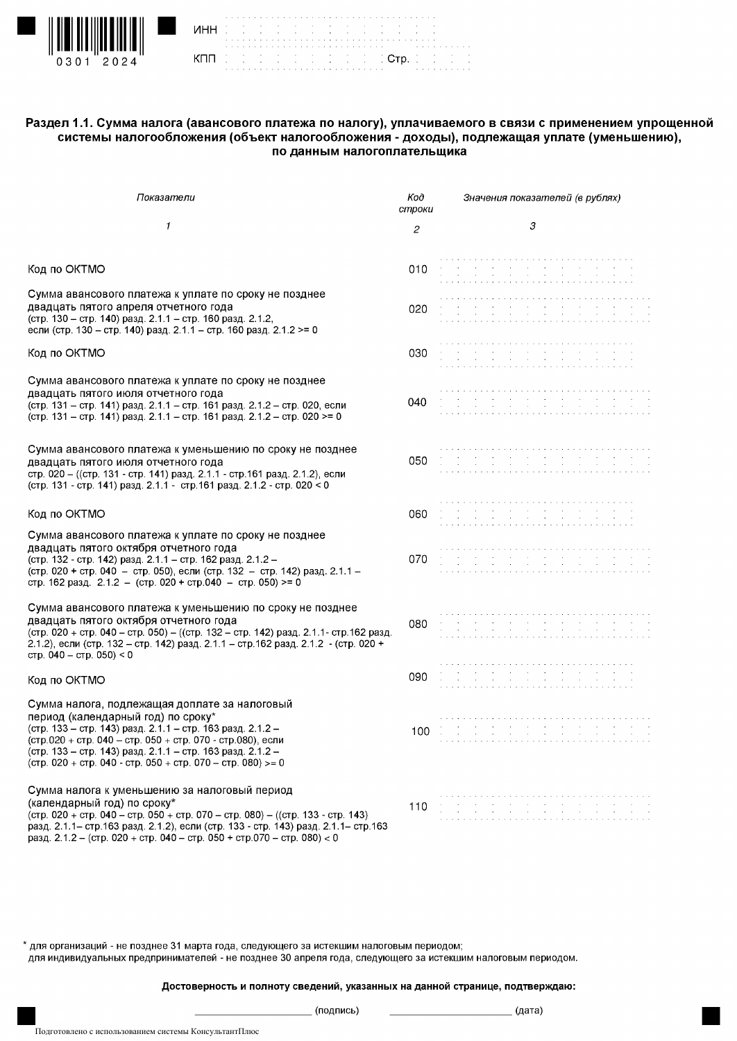

| <b>NHH</b> (2012) (2012) a conservation of the | the contract of the contract of the contract of the contract of the contract of the contract of |  |  |  |  |  |  |  |  |  |  |  |  |  |  |  |  |  |  |                                                                                                               |  |
|------------------------------------------------|-------------------------------------------------------------------------------------------------|--|--|--|--|--|--|--|--|--|--|--|--|--|--|--|--|--|--|---------------------------------------------------------------------------------------------------------------|--|
|                                                | and the first of the first of the form in the first                                             |  |  |  |  |  |  |  |  |  |  |  |  |  |  |  |  |  |  | a constitution de la constitution de la constitution de la constitution de la constitution de la constitution |  |

### Раздел 1.1. Сумма налога (авансового платежа по налогу), уплачиваемого в связи с применением упрощенной системы налогообложения (объект налогообложения - доходы), подлежащая уплате (уменьшению), по данным налогоплательщика

| Показатели                                                                                                                                                                                                                                                                                                                                   | Koò<br>строки  | Значения показателей (в рублях)                                 |
|----------------------------------------------------------------------------------------------------------------------------------------------------------------------------------------------------------------------------------------------------------------------------------------------------------------------------------------------|----------------|-----------------------------------------------------------------|
| 1                                                                                                                                                                                                                                                                                                                                            | $\overline{c}$ | 3                                                               |
| Код по ОКТМО                                                                                                                                                                                                                                                                                                                                 | 010            |                                                                 |
| Сумма авансового платежа к уплате по сроку не позднее<br>двадцать пятого апреля отчетного года<br>(стр. 130 - стр. 140) разд. 2.1.1 - стр. 160 разд. 2.1.2,<br>если (стр. 130 - стр. 140) разд. 2.1.1 - стр. 160 разд. 2.1.2 >= 0                                                                                                            | 020            |                                                                 |
| Код по ОКТМО                                                                                                                                                                                                                                                                                                                                 | 030            |                                                                 |
| Сумма авансового платежа к уплате по сроку не позднее<br>двадцать пятого июля отчетного года<br>(стр. 131 - стр. 141) разд. 2.1.1 - стр. 161 разд. 2.1.2 - стр. 020, если<br>(стр. 131 - стр. 141) разд. 2.1.1 - стр. 161 разд. 2.1.2 - стр. 020 >= 0                                                                                        | 040            |                                                                 |
| Сумма авансового платежа к уменьшению по сроку не позднее<br>двадцать пятого июля отчетного года<br>стр. 020 - ((стр. 131 - стр. 141) разд. 2.1.1 - стр. 161 разд. 2.1.2), если<br>(стр. 131 - стр. 141) разд. 2.1.1 - стр. 161 разд. 2.1.2 - стр. 020 < 0                                                                                   | 050            |                                                                 |
| Код по ОКТМО                                                                                                                                                                                                                                                                                                                                 | 060            |                                                                 |
| Сумма авансового платежа к уплате по сроку не позднее<br>двадцать пятого октября отчетного года<br>(стр. 132 - стр. 142) разд. 2.1.1 - стр. 162 разд. 2.1.2 -<br>(стр. 020 + стр. 040 - стр. 050), если (стр. 132 - стр. 142) разд. 2.1.1 -<br>стр. 162 разд. 2.1.2 - (стр. 020 + стр. 040 - стр. 050) >= 0                                  | 070            |                                                                 |
| Сумма авансового платежа к уменьшению по сроку не позднее<br>двадцать пятого октября отчетного года<br>(стр. 020 + стр. 040 - стр. 050) - ((стр. 132 - стр. 142) разд. 2.1.1- стр. 162 разд.<br>2.1.2), если (стр. 132 – стр. 142) разд. 2.1.1 – стр. 162 разд. 2.1.2 - (стр. 020 +<br>стр. 040 - стр. 050) < 0                              | 080            |                                                                 |
| Код по ОКТМО                                                                                                                                                                                                                                                                                                                                 | 090            |                                                                 |
| Сумма налога, подлежащая доплате за налоговый<br>период (календарный год) по сроку*<br>(стр. 133 - стр. 143) разд. 2.1.1 - стр. 163 разд. 2.1.2 -<br>(стр.020 + стр. 040 - стр. 050 + стр. 070 - стр.080), если<br>(стр. 133 – стр. 143) разд. 2.1.1 – стр. 163 разд. 2.1.2 –<br>(стр. 020 + стр. 040 - стр. 050 + стр. 070 - стр. 080) >= 0 | 100            |                                                                 |
| Сумма налога к уменьшению за налоговый период<br>(календарный год) по сроку*<br>(стр. 020 + стр. 040 – стр. 050 + стр. 070 – стр. 080) – ((стр. 133 - стр. 143)<br>разд. 2.1.1- стр. 163 разд. 2.1.2), если (стр. 133 - стр. 143) разд. 2.1.1- стр. 163<br>разд. 2.1.2 - (стр. 020 + стр. 040 - стр. 050 + стр. 070 - стр. 080) < 0          | 110            | the contract of the contract of the contract of the contract of |

\* для организаций - не позднее 31 марта года, следующего за истекшим налоговым периодом; для индивидуальных предпринимателей - не позднее 30 апреля года, следующего за истекшим налоговым периодом.

Достоверность и полноту сведений, указанных на данной странице, подтверждаю:

 $\equiv$  (подпись)

<sub>\_</sub> (дата)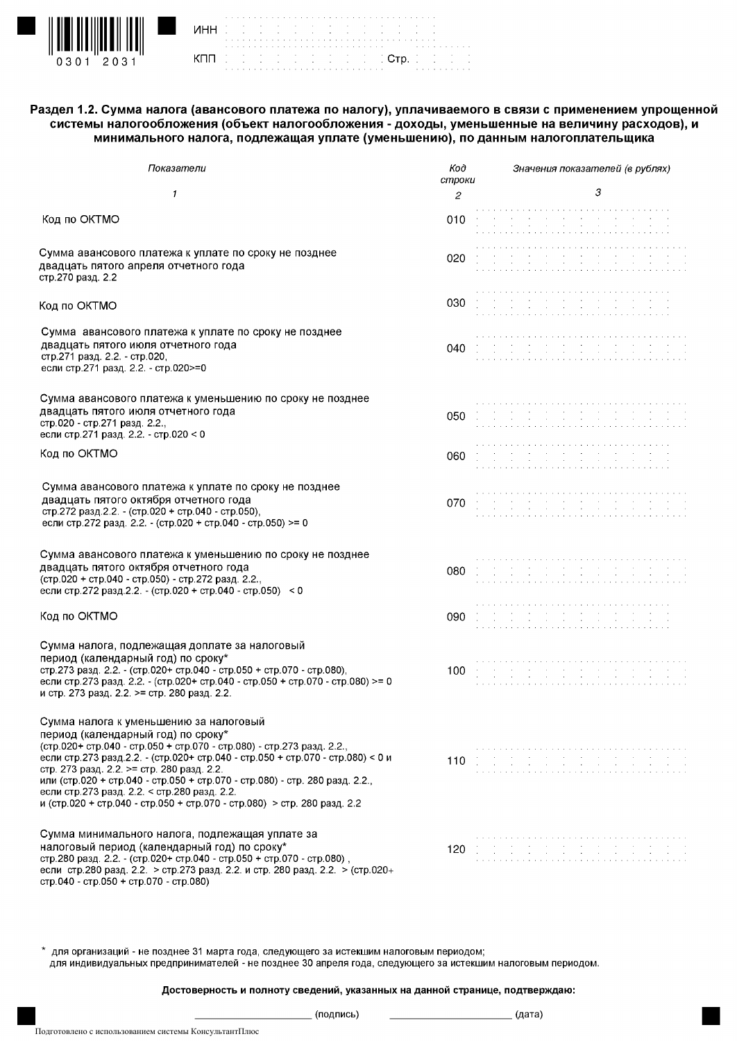

|            | ٠.                       |   |   |   |                          | . |                                     |      | .      |     |               |                         |    |   |                 |   |   | .                  |                          |        | . . |
|------------|--------------------------|---|---|---|--------------------------|---|-------------------------------------|------|--------|-----|---------------|-------------------------|----|---|-----------------|---|---|--------------------|--------------------------|--------|-----|
| <b>NHH</b> | ٠                        |   |   | ٠ |                          |   | $\sim$                              |      |        |     |               | the company of the com- |    |   | $\sim$ 10 $\pm$ |   |   | ٠                  |                          | ٠.     |     |
|            | $\overline{\phantom{a}}$ |   |   |   |                          |   | the contract of the contract of the |      |        |     |               |                         |    |   |                 |   |   | $\sim 100$         |                          | $\sim$ |     |
|            |                          |   |   |   |                          |   |                                     |      | - 41   | - 1 | $\sim$        | ٠                       | ٠  | ٠ | ٠               | ٠ | ٠ | $\sim$             | <b>Contract Contract</b> |        | - 4 |
|            | ÷.                       | ٠ | ٠ | ٠ | $\overline{\phantom{a}}$ | ٠ | - 4                                 | - 14 | .      |     | $\sim$ $\sim$ |                         | ٠. |   |                 |   |   | and a series and a |                          |        |     |
| кпп        | ٠                        |   |   | ٠ |                          |   | ٠                                   |      | ٠      |     |               | $\ddot{\phantom{1}}$    |    |   | ÷.              |   |   | $\sim$             |                          | ٠      |     |
|            | and the company          |   |   |   |                          |   |                                     |      | $\sim$ |     |               | $\sim$ 10 $\pm$         |    |   | $\sim$          |   |   | ٠                  |                          | ٠      |     |

Раздел 1.2. Сумма налога (авансового платежа по налогу), уплачиваемого в связи с применением упрощенной системы налогообложения (объект налогообложения - доходы, уменьшенные на величину расходов), и минимального налога, подлежащая уплате (уменьшению), по данным налогоплательщика

Стр.

| Показатели                                                                                                                                                                                                                                                                                                                                                                                                                                                                                        | Koð<br>строки | Значения показателей (в рублях) |
|---------------------------------------------------------------------------------------------------------------------------------------------------------------------------------------------------------------------------------------------------------------------------------------------------------------------------------------------------------------------------------------------------------------------------------------------------------------------------------------------------|---------------|---------------------------------|
| 1                                                                                                                                                                                                                                                                                                                                                                                                                                                                                                 | 2             | 3                               |
| Код по ОКТМО                                                                                                                                                                                                                                                                                                                                                                                                                                                                                      | 010           |                                 |
| Сумма авансового платежа к уплате по сроку не позднее<br>двадцать пятого апреля отчетного года<br>стр.270 разд. 2.2                                                                                                                                                                                                                                                                                                                                                                               | 020           |                                 |
| Код по ОКТМО                                                                                                                                                                                                                                                                                                                                                                                                                                                                                      | 030           |                                 |
| Сумма авансового платежа к уплате по сроку не позднее<br>двадцать пятого июля отчетного года<br>стр.271 разд. 2.2. - стр.020,<br>если стр.271 разд. 2.2. - стр.020>=0                                                                                                                                                                                                                                                                                                                             | 040           |                                 |
| Сумма авансового платежа к уменьшению по сроку не позднее<br>двадцать пятого июля отчетного года<br>стр.020 - стр.271 разд. 2.2.,<br>если стр.271 разд. 2.2. - стр.020 < 0                                                                                                                                                                                                                                                                                                                        | 050           |                                 |
| Код по ОКТМО                                                                                                                                                                                                                                                                                                                                                                                                                                                                                      | 060           |                                 |
| Сумма авансового платежа к уплате по сроку не позднее<br>двадцать пятого октября отчетного года<br>стр.272 разд.2.2. - (стр.020 + стр.040 - стр.050),<br>если стр.272 разд. 2.2. (стр.020 + стр.040 - стр.050) >= 0                                                                                                                                                                                                                                                                               | 070           |                                 |
| Сумма авансового платежа к уменьшению по сроку не позднее<br>двадцать пятого октября отчетного года<br>(стр.020 + стр.040 - стр.050) - стр.272 разд. 2.2.,<br>если стр.272 разд.2.2. - (стр.020 + стр.040 - стр.050) < 0                                                                                                                                                                                                                                                                          | 080           |                                 |
| Код по ОКТМО                                                                                                                                                                                                                                                                                                                                                                                                                                                                                      | 090           |                                 |
| Сумма налога, подлежащая доплате за налоговый<br>период (календарный год) по сроку*<br>стр.273 разд. 2.2. - (стр.020+ стр.040 - стр.050 + стр.070 - стр.080),<br>если стр.273 разд. 2.2. - (стр.020+ стр.040 - стр.050 + стр.070 - стр.080) >= 0<br>и стр. 273 разд. 2.2. >= стр. 280 разд. 2.2.                                                                                                                                                                                                  | 100           |                                 |
| Сумма налога к уменьшению за налоговый<br>период (календарный год) по сроку*<br>(стр.020+ стр.040 - стр.050 + стр.070 - стр.080) - стр.273 разд. 2.2.,<br>если стр.273 разд.2.2. - (стр.020+ стр.040 - стр.050 + стр.070 - стр.080) < 0 и<br>стр. 273 разд. 2.2. >= стр. 280 разд. 2.2.<br>или (стр.020 + стр.040 - стр.050 + стр.070 - стр.080) - стр. 280 разд. 2.2<br>если стр.273 разд. 2.2. < стр.280 разд. 2.2.<br>и (стр.020 + стр.040 - стр.050 + стр.070 - стр.080) > стр. 280 разд. 2.2 | 110           |                                 |
| Сумма минимального налога, подлежащая уплате за<br>налоговый период (календарный год) по сроку*<br>стр.280 разд. 2.2. - (стр.020+ стр.040 - стр.050 + стр.070 - стр.080),<br>если стр.280 разд. 2.2. > стр.273 разд. 2.2. и стр. 280 разд. 2.2. > (стр.020+<br>стр.040 - стр.050 + стр.070 - стр.080)                                                                                                                                                                                             | 120           |                                 |

для организаций - не позднее 31 марта года, следующего за истекшим налоговым периодом; для индивидуальных предпринимателей - не позднее 30 апреля года, следующего за истекшим налоговым периодом.

Достоверность и полноту сведений, указанных на данной странице, подтверждаю:

(подпись)

```
(дата)
```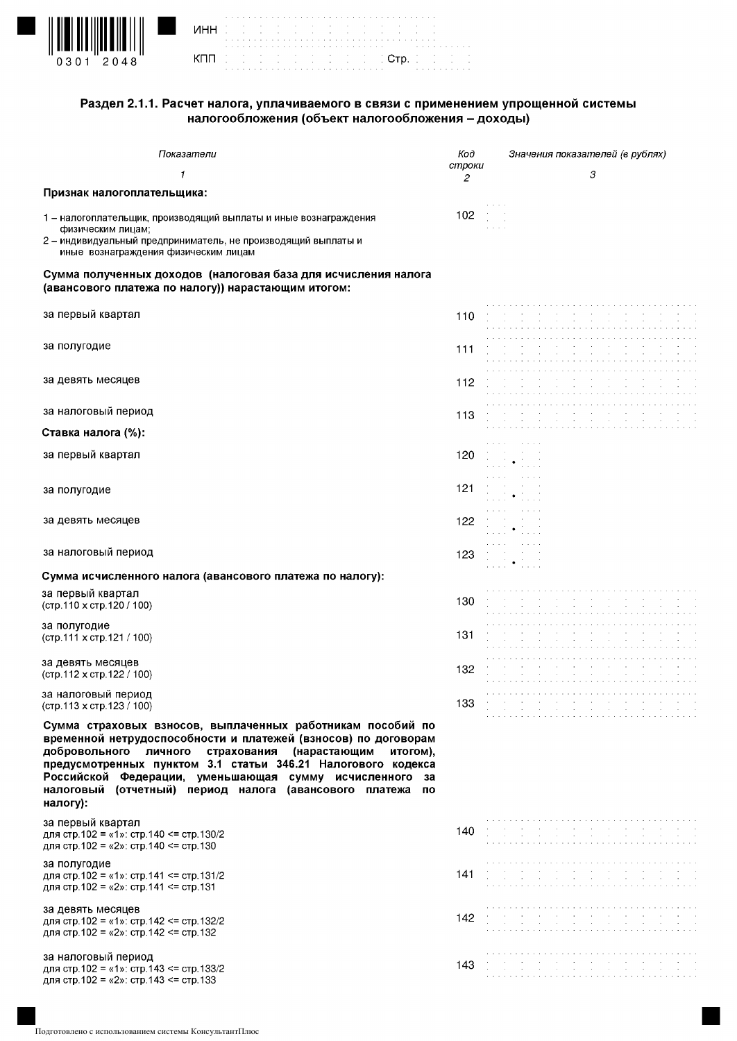

| <b>NHH</b> (2012) Indian and a construction | the contract of the contract of the contract of the contract of the contract of the contract of |  |  |  |  |  |  |  |  |  |  |  |  |  |  |  |  |  |  |  |  |                                                           |  |
|---------------------------------------------|-------------------------------------------------------------------------------------------------|--|--|--|--|--|--|--|--|--|--|--|--|--|--|--|--|--|--|--|--|-----------------------------------------------------------|--|
|                                             |                                                                                                 |  |  |  |  |  |  |  |  |  |  |  |  |  |  |  |  |  |  |  |  |                                                           |  |
|                                             |                                                                                                 |  |  |  |  |  |  |  |  |  |  |  |  |  |  |  |  |  |  |  |  |                                                           |  |
|                                             |                                                                                                 |  |  |  |  |  |  |  |  |  |  |  |  |  |  |  |  |  |  |  |  |                                                           |  |
|                                             |                                                                                                 |  |  |  |  |  |  |  |  |  |  |  |  |  |  |  |  |  |  |  |  | de de de de de de de de di <mark>. Ctp.</mark> de de de d |  |
|                                             |                                                                                                 |  |  |  |  |  |  |  |  |  |  |  |  |  |  |  |  |  |  |  |  |                                                           |  |
|                                             |                                                                                                 |  |  |  |  |  |  |  |  |  |  |  |  |  |  |  |  |  |  |  |  |                                                           |  |

## Раздел 2.1.1. Расчет налога, уплачиваемого в связи с применением упрощенной системы налогообложения (объект налогообложения - доходы)

| Показатели                                                                                                                                                                                                                                                                                                                                                                                              | Kod               | Значения показателей (в рублях)                                                                                                                                                                                                   |
|---------------------------------------------------------------------------------------------------------------------------------------------------------------------------------------------------------------------------------------------------------------------------------------------------------------------------------------------------------------------------------------------------------|-------------------|-----------------------------------------------------------------------------------------------------------------------------------------------------------------------------------------------------------------------------------|
| 1                                                                                                                                                                                                                                                                                                                                                                                                       | строки<br>2       | 3                                                                                                                                                                                                                                 |
| Признак налогоплательщика:                                                                                                                                                                                                                                                                                                                                                                              |                   |                                                                                                                                                                                                                                   |
| 1 – налогоплательщик, производящий выплаты и иные вознаграждения<br>физическим лицам:                                                                                                                                                                                                                                                                                                                   | $102$ and $\sim$  |                                                                                                                                                                                                                                   |
| 2 - индивидуальный предприниматель, не производящий выплаты и<br>иные вознаграждения физическим лицам                                                                                                                                                                                                                                                                                                   |                   |                                                                                                                                                                                                                                   |
| Сумма полученных доходов (налоговая база для исчисления налога<br>(авансового платежа по налогу)) нарастающим итогом:                                                                                                                                                                                                                                                                                   |                   |                                                                                                                                                                                                                                   |
| за первый квартал                                                                                                                                                                                                                                                                                                                                                                                       | 110               |                                                                                                                                                                                                                                   |
| за полугодие                                                                                                                                                                                                                                                                                                                                                                                            | 111               |                                                                                                                                                                                                                                   |
| за девять месяцев                                                                                                                                                                                                                                                                                                                                                                                       | 112.              |                                                                                                                                                                                                                                   |
| за налоговый период                                                                                                                                                                                                                                                                                                                                                                                     | 113               |                                                                                                                                                                                                                                   |
| Ставка налога (%):                                                                                                                                                                                                                                                                                                                                                                                      |                   |                                                                                                                                                                                                                                   |
| за первый квартал                                                                                                                                                                                                                                                                                                                                                                                       | 120               |                                                                                                                                                                                                                                   |
| за полугодие                                                                                                                                                                                                                                                                                                                                                                                            | 121               |                                                                                                                                                                                                                                   |
| за девять месяцев                                                                                                                                                                                                                                                                                                                                                                                       | 122               | $1\ldots 1 + 1\ldots$                                                                                                                                                                                                             |
| за налоговый период                                                                                                                                                                                                                                                                                                                                                                                     | 123               | $\mathcal{I} \subset \mathcal{I} \subset \mathcal{I}$ .<br>$\bullet$                                                                                                                                                              |
| Сумма исчисленного налога (авансового платежа по налогу):                                                                                                                                                                                                                                                                                                                                               |                   |                                                                                                                                                                                                                                   |
| за первый квартал<br>(стр.110 х стр.120 / 100)                                                                                                                                                                                                                                                                                                                                                          | 130               |                                                                                                                                                                                                                                   |
| за полугодие<br>(стр.111 х стр.121 / 100)                                                                                                                                                                                                                                                                                                                                                               | 131               |                                                                                                                                                                                                                                   |
| за девять месяцев<br>(стр.112 х стр.122 / 100)                                                                                                                                                                                                                                                                                                                                                          | 132.              |                                                                                                                                                                                                                                   |
| за налоговый период<br>(стр.113 х стр.123 / 100)                                                                                                                                                                                                                                                                                                                                                        | $\sim$ 0.0<br>133 | $\sim$<br>$\sim$                                                                                                                                                                                                                  |
| Сумма страховых взносов, выплаченных работникам пособий по<br>временной нетрудоспособности и платежей (взносов) по договорам<br>страхования<br>добровольного<br>личного<br>(нарастающим<br>итогом).<br>предусмотренных пунктом 3.1 статьи 346.21 Налогового кодекса<br>Российской Федерации, уменьшающая сумму исчисленного за<br>налоговый (отчетный) период налога (авансового платежа по<br>налогу): |                   |                                                                                                                                                                                                                                   |
| за первый квартал<br>для стр. 102 = «1»: стр. 140 <= стр. 130/2<br>для стр. 102 = «2»: стр. 140 <= стр. 130                                                                                                                                                                                                                                                                                             | 140.              | a se propindi di partito di partito di                                                                                                                                                                                            |
| за полугодие<br>для стр. 102 = «1»: стр. 141 <= стр. 131/2<br>для стр. 102 = «2»: стр. 141 <= стр. 131                                                                                                                                                                                                                                                                                                  | 141               |                                                                                                                                                                                                                                   |
| за девять месяцев<br>для стр. 102 = «1»: стр. 142 <= стр. 132/2<br>для стр. 102 = «2»: стр. 142 <= стр. 132                                                                                                                                                                                                                                                                                             | 142               |                                                                                                                                                                                                                                   |
| за налоговый период<br>для стр.102 = «1»: стр.143 <= стр.133/2<br>для стр 102 = «2»: стр 143 <= стр 133                                                                                                                                                                                                                                                                                                 | 143               | $\alpha$ , the spectral properties of the spectrum of the spectrum of the spectrum of the spectrum of the spectrum of the spectrum of the spectrum of the spectrum of the spectrum of the spectrum of the spectrum of the spectru |
|                                                                                                                                                                                                                                                                                                                                                                                                         |                   |                                                                                                                                                                                                                                   |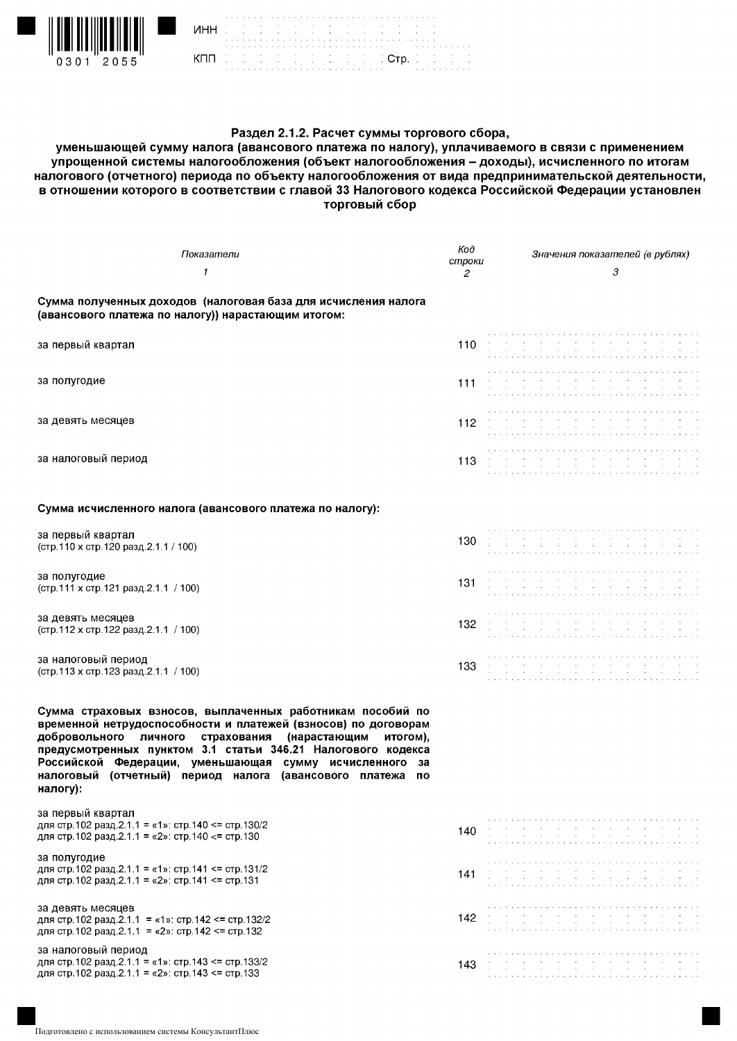

| инн | the contract of the contract of the contract of the contract of the contract of |  |  |  |  |  |  |  |  |  |  |  |  |  | the contract of the contract of the contract of the contract of the contract of |  |  |  |  |                                                      |  |  |
|-----|---------------------------------------------------------------------------------|--|--|--|--|--|--|--|--|--|--|--|--|--|---------------------------------------------------------------------------------|--|--|--|--|------------------------------------------------------|--|--|
|     | <b>CONTRACT DESCRIPTION COMP.</b><br>$\sim$                                     |  |  |  |  |  |  |  |  |  |  |  |  |  |                                                                                 |  |  |  |  | $\mathcal{L}^{\text{max}}(\mathcal{L}^{\text{max}})$ |  |  |

## Раздел 2.1.2. Расчет суммы торгового сбора,

уменьшающей сумму налога (авансового платежа по налогу), уплачиваемого в связи с применением упрощенной системы налогообложения (объект налогообложения - доходы), исчисленного по итогам налогового (отчетного) периода по объекту налогообложения от вида предпринимательской деятельности, в отношении которого в соответствии с главой 33 Налогового кодекса Российской Федерации установлен торговый сбор

| Показатели<br>1                                                                                                                                                                                                                                                                                                                                                                                   | Koð<br>строки<br>2 | Значения показателей (в рублях)<br>3                                                                                                                                                                                            |
|---------------------------------------------------------------------------------------------------------------------------------------------------------------------------------------------------------------------------------------------------------------------------------------------------------------------------------------------------------------------------------------------------|--------------------|---------------------------------------------------------------------------------------------------------------------------------------------------------------------------------------------------------------------------------|
| Сумма полученных доходов (налоговая база для исчисления налога<br>(авансового платежа по налогу)) нарастающим итогом:                                                                                                                                                                                                                                                                             |                    |                                                                                                                                                                                                                                 |
| за первый квартал                                                                                                                                                                                                                                                                                                                                                                                 | 110                |                                                                                                                                                                                                                                 |
| за полугодие                                                                                                                                                                                                                                                                                                                                                                                      | 111                |                                                                                                                                                                                                                                 |
| за девять месяцев                                                                                                                                                                                                                                                                                                                                                                                 | 112                |                                                                                                                                                                                                                                 |
| за налоговый период                                                                                                                                                                                                                                                                                                                                                                               | 113                | contract the contract of<br>$\sim$                                                                                                                                                                                              |
| Сумма исчисленного налога (авансового платежа по налогу):                                                                                                                                                                                                                                                                                                                                         |                    |                                                                                                                                                                                                                                 |
| за первый квартал<br>(стр. 110 х стр. 120 разд. 2.1.1 / 100)                                                                                                                                                                                                                                                                                                                                      | 130                |                                                                                                                                                                                                                                 |
| за полугодие<br>(стр. 111 х стр. 121 разд. 2.1.1 / 100)                                                                                                                                                                                                                                                                                                                                           | 131                |                                                                                                                                                                                                                                 |
| за девять месяцев<br>(стр. 112 х стр. 122 разд. 2.1.1 / 100)                                                                                                                                                                                                                                                                                                                                      | 132                | $\sim$ $-$<br>$\sim 10^{-11}$<br>$\sim$                                                                                                                                                                                         |
| за налоговый период<br>(стр. 113 х стр. 123 разд. 2.1.1 / 100)                                                                                                                                                                                                                                                                                                                                    | 133                | the contract of the contract of                                                                                                                                                                                                 |
| Сумма страховых взносов, выплаченных работникам пособий по<br>временной нетрудоспособности и платежей (взносов) по договорам<br>добровольного личного страхования (нарастающим итогом),<br>предусмотренных пунктом 3.1 статьи 346.21 Налогового кодекса<br>Российской Федерации, уменьшающая сумму исчисленного<br>за<br>налоговый (отчетный) период налога (авансового платежа<br>по<br>налогу): |                    |                                                                                                                                                                                                                                 |
| за первый квартал<br>для стр.102 разд.2.1.1 = «1»: стр.140 <= стр.130/2<br>для стр. 102 разд. 2.1.1 = «2»: стр. 140 <= стр. 130                                                                                                                                                                                                                                                                   | 140.               | $\mathbf{a}$ , and $\mathbf{a}$ , and $\mathbf{a}$ , and $\mathbf{a}$ , and $\mathbf{a}$ , and $\mathbf{a}$ , and $\mathbf{a}$                                                                                                  |
| за полугодие<br>для стр.102 разд.2.1.1 = «1»: стр.141 <= стр.131/2<br>для стр. 102 разд. 2.1.1 = «2»: стр. 141 <= стр. 131                                                                                                                                                                                                                                                                        | 141                | a de la característica de la característica de la característica de la característica de la característica de<br>La característica de la característica de la característica de la característica de la característica de la ca |
| за девять месяцев<br>для стр. 102 разд. 2.1.1 = «1»: стр. 142 <= стр. 132/2<br>для стр. 102 разд 2.1.1 = «2»: стр. 142 <= стр. 132                                                                                                                                                                                                                                                                | 142.               |                                                                                                                                                                                                                                 |
| за налоговый период<br>для стр. 102 разд. 2.1.1 = «1»: стр. 143 <= стр. 133/2<br>для стр.102 разд.2.1.1 = «2»: стр.143 <= стр.133                                                                                                                                                                                                                                                                 | 143                | and the contract of the contract of the contract of the                                                                                                                                                                         |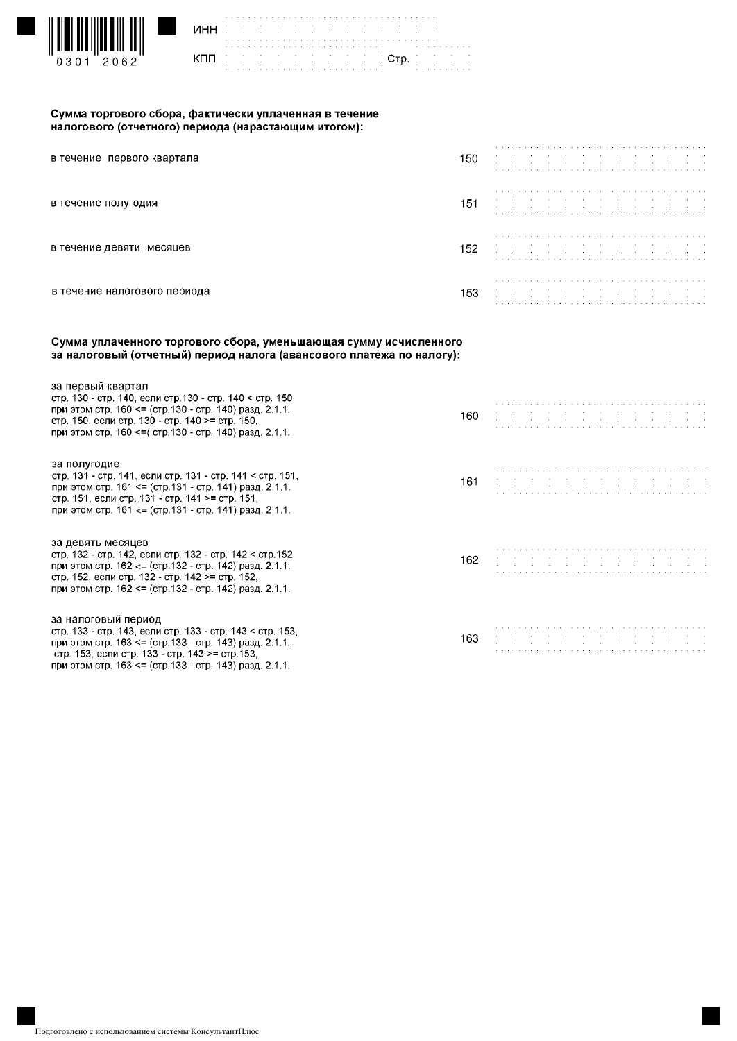

| WHHERE IS IN THE RESERVE TO THE TEST OF |  |  |  |  |  |  |  |  |  |  |  |  |  |  |                                                                                                                                                                                                                               |  |  |  |  |  |  |                                                                                                 |  |
|-----------------------------------------|--|--|--|--|--|--|--|--|--|--|--|--|--|--|-------------------------------------------------------------------------------------------------------------------------------------------------------------------------------------------------------------------------------|--|--|--|--|--|--|-------------------------------------------------------------------------------------------------|--|
|                                         |  |  |  |  |  |  |  |  |  |  |  |  |  |  |                                                                                                                                                                                                                               |  |  |  |  |  |  |                                                                                                 |  |
|                                         |  |  |  |  |  |  |  |  |  |  |  |  |  |  |                                                                                                                                                                                                                               |  |  |  |  |  |  | a caracteristica a caracteristica a caracteristica a caracteristic control de la caracteristica |  |
|                                         |  |  |  |  |  |  |  |  |  |  |  |  |  |  |                                                                                                                                                                                                                               |  |  |  |  |  |  |                                                                                                 |  |
|                                         |  |  |  |  |  |  |  |  |  |  |  |  |  |  |                                                                                                                                                                                                                               |  |  |  |  |  |  |                                                                                                 |  |
|                                         |  |  |  |  |  |  |  |  |  |  |  |  |  |  | a constitution of the constitution of the constitution of the constitution of the constitution of the constitution of the constitution of the constitution of the constitution of the constitution of the constitution of the |  |  |  |  |  |  |                                                                                                 |  |

#### Сумма торгового сбора, фактически уплаченная в течение налогового (отчетного) периода (нарастающим итогом):

| в течение первого квартала   | 150  | a constitution of the constitution of the constitution of the constitution of the constitution of the constitution                                                                                                                                                                                       |
|------------------------------|------|----------------------------------------------------------------------------------------------------------------------------------------------------------------------------------------------------------------------------------------------------------------------------------------------------------|
| в течение полугодия          | 151  | و المستخدم المستخدم المستخدم المستخدم المستخدم المستخدم المستخدم المستخدم المستخدم المستخدم المستخدم المستخدم<br>وقد المستخدم المستخدم المستخدم المستخدم المستخدم المستخدم المستخدم المستخدم المستخدم المستخدم المستخدم المستخد                                                                          |
| в течение девяти месяцев     | 152  | the contract of the contract of the contract of the contract of the contract of the contract of<br>the contract of the contract of the contract of the contract of the contract of<br>a construction of the construction of the construction of the construction of the construction of the construction |
| в течение налогового периода | 153. |                                                                                                                                                                                                                                                                                                          |

#### Сумма уплаченного торгового сбора, уменьшающая сумму исчисленного за налоговый (отчетный) период налога (авансового платежа по налогу):

| за первый квартал<br>стр. 130 - стр. 140, если стр. 130 - стр. 140 < стр. 150,<br>при этом стр. 160 <= (стр. 130 - стр. 140) разд. 2.1.1.<br>стр. 150, если стр. 130 - стр. 140 >= стр. 150,<br>при этом стр. 160 <= (стр. 130 - стр. 140) разд. 2.1.1.    | 160 |  |
|------------------------------------------------------------------------------------------------------------------------------------------------------------------------------------------------------------------------------------------------------------|-----|--|
| за полугодие<br>стр. 131 - стр. 141, если стр. 131 - стр. 141 < стр. 151,<br>при этом стр. 161 <= (стр. 131 - стр. 141) разд. 2.1.1.<br>стр. 151, если стр. 131 - стр. 141 >= стр. 151,<br>при этом стр. 161 <= (стр. 131 - стр. 141) разд. 2.1.1.         | 161 |  |
| за девять месяцев<br>стр. 132 - стр. 142, если стр. 132 - стр. 142 < стр. 152,<br>при этом стр. $162 \le$ (стр. 132 - стр. 142) разд. 2.1.1.<br>стр. 152, если стр. 132 - стр. 142 >= стр. 152,<br>при этом стр. 162 <= (стр. 132 - стр. 142) разд. 2.1.1. | 162 |  |
| за налоговый период<br>стр. 133 - стр. 143, если стр. 133 - стр. 143 < стр. 153,<br>при этом стр. 163 <= (стр. 133 - стр. 143) разд. 2.1.1.<br>стр. 153, если стр. 133 - стр. 143 >= стр. 153,<br>при этом стр. 163 <= (стр. 133 - стр. 143) разд. 2.1.1.  | 163 |  |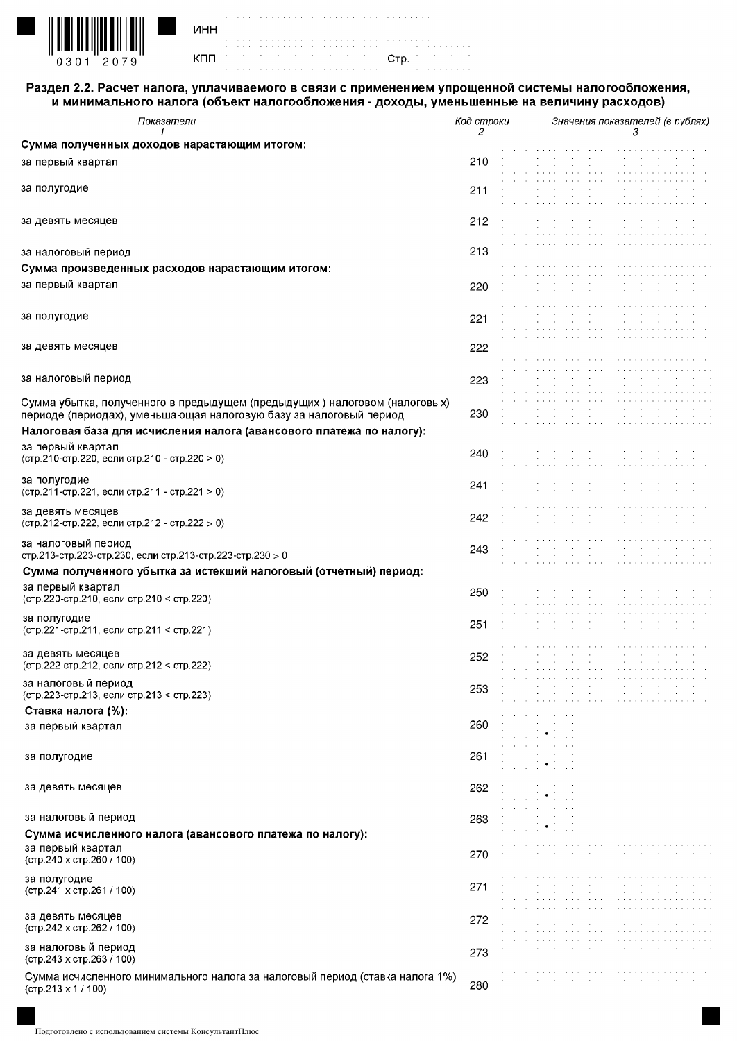

| WHH IS IS IS IS IS IS IS IS IS IS IS IS |  |  |  |  |  |  |  |  |  |  |  |  |  |  |  |  |  |  |
|-----------------------------------------|--|--|--|--|--|--|--|--|--|--|--|--|--|--|--|--|--|--|
|                                         |  |  |  |  |  |  |  |  |  |  |  |  |  |  |  |  |  |  |
|                                         |  |  |  |  |  |  |  |  |  |  |  |  |  |  |  |  |  |  |
|                                         |  |  |  |  |  |  |  |  |  |  |  |  |  |  |  |  |  |  |
| KNN BOD DODGE BOD DODGE BOD DE C        |  |  |  |  |  |  |  |  |  |  |  |  |  |  |  |  |  |  |
|                                         |  |  |  |  |  |  |  |  |  |  |  |  |  |  |  |  |  |  |
|                                         |  |  |  |  |  |  |  |  |  |  |  |  |  |  |  |  |  |  |

## Раздел 2.2. Расчет налога, уплачиваемого в связи с применением упрощенной системы налогообложения, и минимального налога (объект налогообложения - доходы, уменьшенные на величину расходов)

 $\frac{1}{2}$ 

| Показатели                                                                     | Код строки | Значения показателей (в рублях)                                                                  |
|--------------------------------------------------------------------------------|------------|--------------------------------------------------------------------------------------------------|
| 1<br>Сумма полученных доходов нарастающим итогом:                              | 2          | З                                                                                                |
|                                                                                |            |                                                                                                  |
| за первый квартал                                                              | 210        |                                                                                                  |
| за полугодие                                                                   | 211        |                                                                                                  |
|                                                                                |            |                                                                                                  |
|                                                                                |            |                                                                                                  |
| за девять месяцев                                                              | 212        |                                                                                                  |
|                                                                                |            |                                                                                                  |
| за налоговый период                                                            | 213        |                                                                                                  |
| Сумма произведенных расходов нарастающим итогом:                               |            |                                                                                                  |
| за первый квартал                                                              | 220        |                                                                                                  |
|                                                                                |            |                                                                                                  |
| за полугодие                                                                   | 221        |                                                                                                  |
|                                                                                |            |                                                                                                  |
| за девять месяцев                                                              | 222        |                                                                                                  |
|                                                                                |            |                                                                                                  |
| за налоговый период                                                            | 223        |                                                                                                  |
| Сумма убытка, полученного в предыдущем (предыдущих) налоговом (налоговых)      |            |                                                                                                  |
| периоде (периодах), уменьшающая налоговую базу за налоговый период             | 230        |                                                                                                  |
| Налоговая база для исчисления налога (авансового платежа по налогу):           |            |                                                                                                  |
| за первый квартал                                                              |            |                                                                                                  |
| (стр.210-стр.220, если стр.210 - стр.220 > 0)                                  | 240.       |                                                                                                  |
|                                                                                |            |                                                                                                  |
| за полугодие<br>(стр.211-стр.221, если стр.211 - стр.221 > 0)                  | 241        |                                                                                                  |
|                                                                                |            |                                                                                                  |
| за девять месяцев<br>(стр.212-стр.222, если стр.212 - стр.222 > 0)             | 242.       |                                                                                                  |
|                                                                                |            |                                                                                                  |
| за налоговый период                                                            | 243        |                                                                                                  |
| стр 213-стр 223-стр 230, если стр 213-стр 223-стр 230 > 0                      |            |                                                                                                  |
| Сумма полученного убытка за истекший налоговый (отчетный) период:              |            |                                                                                                  |
| за первый квартал<br>(стр.220-стр.210, если стр.210 < стр.220)                 | 250.       |                                                                                                  |
|                                                                                |            |                                                                                                  |
| за полугодие<br>(стр.221-стр.211, если стр.211 < стр.221)                      | 251        |                                                                                                  |
|                                                                                |            |                                                                                                  |
| за девять месяцев                                                              | 252        |                                                                                                  |
| (стр.222-стр.212, если стр.212 < стр.222)                                      |            |                                                                                                  |
| за налоговый период                                                            | 253        |                                                                                                  |
| (стр.223-стр.213, если стр.213 < стр.223)                                      |            |                                                                                                  |
| Ставка налога (%):                                                             |            | and a series and a series of                                                                     |
| за первый квартал                                                              | 260.       | and the company<br>and a series and                                                              |
|                                                                                |            |                                                                                                  |
| за полугодие                                                                   | 261        | and the company's                                                                                |
|                                                                                |            | and a series and                                                                                 |
| за девять месяцев                                                              | 262        | $\sim 10^{-1}$<br>$\sim 10^{-1}$<br>$\bullet$<br>and a series and<br>$\sim$ $\sim$ $\sim$ $\sim$ |
|                                                                                |            | and a series and a                                                                               |
| за налоговый период                                                            | 263.       | and the state of the<br>and a series and<br>$\alpha$ , $\alpha$ , $\alpha$ , $\alpha$            |
| Сумма исчисленного налога (авансового платежа по налогу):<br>за первый квартал |            |                                                                                                  |
| (стр.240 х стр.260 / 100)                                                      | 270.       |                                                                                                  |
| за полугодие                                                                   |            |                                                                                                  |
| (стр.241 х стр.261 / 100)                                                      | 271        | $\sim$                                                                                           |
|                                                                                |            |                                                                                                  |
| за девять месяцев                                                              | 272        |                                                                                                  |
| (стр.242 х стр.262 / 100)                                                      |            |                                                                                                  |
| за налоговый период                                                            | 273        | $\sim$<br>$\sim$<br>$\sim$<br>$\sim$                                                             |
| (стр.243 х стр.263 / 100)                                                      |            |                                                                                                  |
| Сумма исчисленного минимального налога за налоговый период (ставка налога 1%)  | 280        | the contract of the contract of the                                                              |
| $($ CTp. $213 \times 1 / 100)$                                                 |            |                                                                                                  |